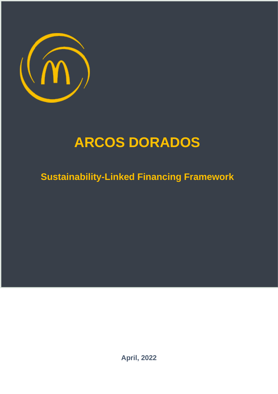

# **ARCOS DORADOS**

**Sustainability-Linked Financing Framework**

**April, 2022**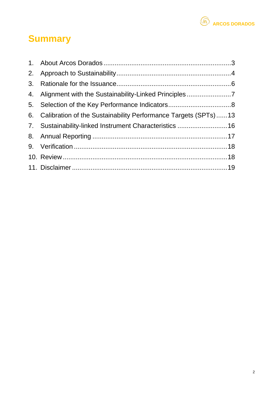

## **Summary**

| 4. Alignment with the Sustainability-Linked Principles7           |  |
|-------------------------------------------------------------------|--|
|                                                                   |  |
| 6. Calibration of the Sustainability Performance Targets (SPTs)13 |  |
| 7. Sustainability-linked Instrument Characteristics 16            |  |
|                                                                   |  |
|                                                                   |  |
|                                                                   |  |
|                                                                   |  |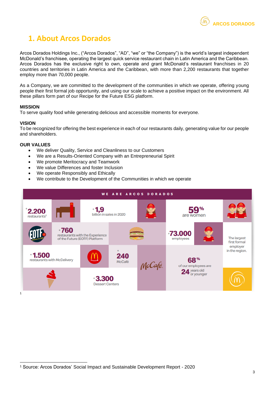<span id="page-2-0"></span>Arcos Dorados Holdings Inc., ("Arcos Dorados", "AD", "we" or "the Company") is the world's largest independent McDonald's franchisee, operating the largest quick service restaurant chain in Latin America and the Caribbean. Arcos Dorados has the exclusive right to own, operate and grant McDonald's restaurant franchises in 20 countries and territories in Latin America and the Caribbean, with more than 2,200 restaurants that together employ more than 70,000 people.

As a Company, we are committed to the development of the communities in which we operate, offering young people their first formal job opportunity, and using our scale to achieve a positive impact on the environment. All these pillars form part of our Recipe for the Future ESG platform.

#### **MISSION**

To serve quality food while generating delicious and accessible moments for everyone.

#### **VISION**

To be recognized for offering the best experience in each of our restaurants daily, generating value for our people and shareholders.

#### **OUR VALUES**

- We deliver Quality, Service and Cleanliness to our Customers
- We are a Results-Oriented Company with an Entrepreneurial Spirit
- We promote Meritocracy and Teamwork
- We value Differences and foster Inclusion
- We operate Responsibly and Ethically
- We contribute to the Development of the Communities in which we operate



**ARCOS DORADOS**

<sup>1</sup> Source: Arcos Dorados' Social Impact and Sustainable Development Report - 2020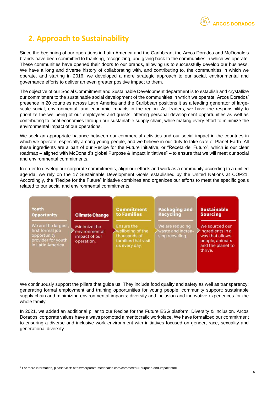### <span id="page-3-0"></span>**2. Approach to Sustainability**

Since the beginning of our operations in Latin America and the Caribbean, the Arcos Dorados and McDonald's brands have been committed to thanking, recognizing, and giving back to the communities in which we operate. These communities have opened their doors to our brands, allowing us to successfully develop our business. We have a long and diverse history of collaborating with, and contributing to, the communities in which we operate, and starting in 2016, we developed a more strategic approach to our social, environmental and governance efforts to deliver an even greater positive impact to them.

The objective of our Social Commitment and Sustainable Development department is to establish and crystallize our commitment to the sustainable social development of the communities in which we operate. Arcos Dorados' presence in 20 countries across Latin America and the Caribbean positions it as a leading generator of largescale social, environmental, and economic impacts in the region. As leaders, we have the responsibility to prioritize the wellbeing of our employees and guests, offering personal development opportunities as well as contributing to local economies through our sustainable supply chain, while making every effort to minimize the environmental impact of our operations.

We seek an appropriate balance between our commercial activities and our social impact in the countries in which we operate, especially among young people, and we believe in our duty to take care of Planet Earth. All these ingredients are a part of our Recipe for the Future initiative, or "Receta del Futuro", which is our clear roadmap – aligned with McDonald's global Purpose & Impact initiatives<sup>2</sup> – to ensure that we will meet our social and environmental commitments.

In order to develop our corporate commitments, align our efforts and work as a community according to a unified agenda, we rely on the 17 Sustainable Development Goals established by the United Nations at COP21. Accordingly, the "Recipe for the Future" initiative combines and organizes our efforts to meet the specific goals related to our social and environmental commitments.

| Youth                                                                                             | <b>Climate Change</b>                                        | <b>Commitment</b>                                                                      | <b>Packaging and</b>                                    | <b>Sustainable</b>                                                                                       |
|---------------------------------------------------------------------------------------------------|--------------------------------------------------------------|----------------------------------------------------------------------------------------|---------------------------------------------------------|----------------------------------------------------------------------------------------------------------|
| <b>Opportunity</b>                                                                                |                                                              | to Families                                                                            | <b>Recycling</b>                                        | <b>Sourcing</b>                                                                                          |
| We are the largest,<br>first formal job<br>opportunity<br>provider for youth<br>in Latin America. | Minimize the<br>environmental<br>impact of our<br>operation. | Ensure the<br>wellbeing of the<br>thousands of<br>families that visit<br>us every day. | We are reducing<br>waste and increa-<br>sing recycling. | We sourced our<br>ingredients in a<br>way that allows<br>people, animals<br>and the planet to<br>thrive. |

We continuously support the pillars that quide us. They include food quality and safety as well as transparency; generating formal employment and training opportunities for young people; community support; sustainable supply chain and minimizing environmental impacts; diversity and inclusion and innovative experiences for the whole family.

In 2021, we added an additional pillar to our Recipe for the Future ESG platform: Diversity & Inclusion. Arcos Dorados' corporate values have always promoted a meritocratic workplace. We have formalized our commitment to ensuring a diverse and inclusive work environment with initiatives focused on gender, race, sexuality and generational diversity.

<sup>2</sup> For more information, please vitist: https://corporate.mcdonalds.com/corpmcd/our-purpose-and-impact.html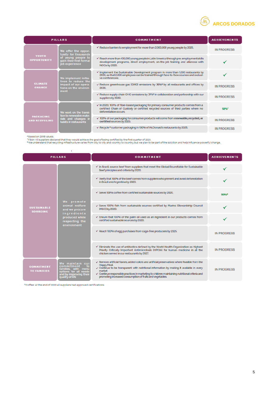

| <b>PILLARS</b>                           |                                                                                                                | <b>COMMITMENT</b>                                                                                                                                                                                            | <b>ACHIEVEMENTS</b> |
|------------------------------------------|----------------------------------------------------------------------------------------------------------------|--------------------------------------------------------------------------------------------------------------------------------------------------------------------------------------------------------------|---------------------|
|                                          | We offer the oppor-<br>tunity for thousands<br>of young people to<br>gain their first formal<br>job experience | $\checkmark$ Reduce barriers to employment for more than 2,000,000 young people by 2025.                                                                                                                     | <b>IN PROGRESS</b>  |
| YOUTH<br><b>OPPORTUNITY</b>              |                                                                                                                | $\checkmark$ Reach more than 400,000 young people in Latin America through pre-employment skills<br>development programs, direct employment, on-the-job training and alliances with<br>NGOs by 2020.         |                     |
|                                          | We implement initia-<br>tives to reduce the<br>impact of our opera-<br>tions on the environ-<br>ment           | $\checkmark$ Implement the Sustainable Development program in more than 1,000 restaurants by 2020, so that 2,000 employees can be trained through face-to-face courses and exclusi-<br>ve conferences        |                     |
| <b>CLIMATE</b><br><b>CHANGE</b>          |                                                                                                                | $\checkmark$ Reduce greenhouse gas (GHG) emissions by 36% by all restaurants and offices by<br>2030                                                                                                          | <b>IN PROGRESS</b>  |
|                                          |                                                                                                                | $\checkmark$ Reduce supply chain GHG emissions by 31% <sup>6</sup> in collaboration and partnership with our<br>suppliers by 2030.                                                                           | <b>IN PROGRESS</b>  |
|                                          | We work on the transi-<br>tion to renewable mate-<br>rials and changes in<br>habits in restaurants             | $\checkmark$ In 2020, 100% of fiber-based packaging for primary consumer products comes from a<br>certified Chain of Custody or certified recycled sources of third parties where no<br>deforestation occurs | 92%                 |
| <b>PACKAGING</b><br><b>AND RECYCLING</b> |                                                                                                                | √ 100% of our packaging for consumer products will come from renewable, recycled, or<br>certified sources by 2025.                                                                                           | <b>IN PROGRESS</b>  |
|                                          |                                                                                                                | ← Recycle <sup>8</sup> customer packaging in 100% of McDonald's restaurants by 2025.                                                                                                                         | <b>IN PROGRESS</b>  |

<sup>6</sup>Based on 2015 values.<br><sup>7</sup>Fiber: All suppliers declared that they would achieve the goal of being certified by the first quarter of 2021.<br><sup>8</sup>We understand that recycling infrastructure varies from city to city and count

| <b>PILLARS</b>                          |                                                                                                                                   | <b>COMMITMENT</b>                                                                                                                                                                                                                                                                                                                                                                                         | <b>ACHIEVEMENTS</b> |
|-----------------------------------------|-----------------------------------------------------------------------------------------------------------------------------------|-----------------------------------------------------------------------------------------------------------------------------------------------------------------------------------------------------------------------------------------------------------------------------------------------------------------------------------------------------------------------------------------------------------|---------------------|
|                                         |                                                                                                                                   | $\checkmark$ In Brazil, source beef from suppliers that meet the Global Roundtable for Sustainable<br>Beef principles and criteria by 2020.                                                                                                                                                                                                                                                               |                     |
|                                         | We promote<br>animal welfare<br>and we procure<br>ingredients<br>produced while<br>respecting the<br>environment                  | $\checkmark$ Verify that 100% of the beef comes from suppliers who prevent and avoid deforestation<br>in Brazil and Argentina by 2020.                                                                                                                                                                                                                                                                    |                     |
|                                         |                                                                                                                                   | $\checkmark$ Serve 100% coffee from certified sustainable sources by 2020.                                                                                                                                                                                                                                                                                                                                | 80%                 |
| <b>SUSTAINABLE</b><br><b>SOURCING</b>   |                                                                                                                                   | √ Serve 100% fish from sustainable sources certified by Marine Stewardship Council<br>(MSC) by 2020.                                                                                                                                                                                                                                                                                                      |                     |
|                                         |                                                                                                                                   | $\checkmark$ Ensure that 100% of the palm oil used as an ingredient in our products comes from<br>certified sustainable sources by 2020.                                                                                                                                                                                                                                                                  |                     |
|                                         |                                                                                                                                   | $\checkmark$ Reach 100% of egg purchases from cage-free producers by 2025.                                                                                                                                                                                                                                                                                                                                | <b>IN PROGRESS</b>  |
|                                         |                                                                                                                                   | $\checkmark$ Eliminate the use of antibiotics defined by the World Health Organization as Highest<br>Priority Critically Important Antimicrobials (HPCIA) for human medicine in all the<br>chicken served in our restaurants by 2027.                                                                                                                                                                     | <b>IN PROGRESS</b>  |
| <b>COMMITMENT</b><br><b>TO FAMILIES</b> | We maintain our<br>commitment<br>⊤to<br>families, with menu<br>options for all needs<br>and by improving their<br>quality of life | $\checkmark$ Remove artificial flavors, added colors and artificial preservatives where feasible from the<br>Happy Meal.<br>√ Continue to be transparent with nutritional information by making it available in every<br>market<br>$\checkmark$ Continue responsible practices in marketing to children maintaining nutritional criteria and<br>promoting increased consumption of fruits and vegetables. | <b>IN PROGRESS</b>  |

<sup>9</sup> Coffee: At the end of 2020 all suppliers had approved certifications.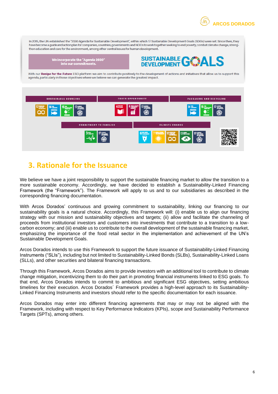**ARCOS DORADOS**

In 2015, the UN established the "2030 Agenda for Sustainable Development", within which 17 Sustainable Development Goals (SDGs) were set, Since then, they have become a guide and action plan for companies, countries, governments and NGOs to work together seeking to end poverty, combat climate change, strengthen education and care for the environment, among other central issues for human development.

We incorporate the "Agenda 2030"<br>into our commitments.



With our Recipe for the Future ESG platform we aim to contribute positively to the development of actions and initiatives that allow us to support this agenda, particularly in those objectives where we believe we can generate the greatest impact.



### <span id="page-5-0"></span>**3. Rationale for the Issuance**

We believe we have a joint responsibility to support the sustainable financing market to allow the transition to a more sustainable economy. Accordingly, we have decided to establish a Sustainability-Linked Financing Framework (the "Framework"). The Framework will apply to us and to our subsidiaries as described in the corresponding financing documentation.

With Arcos Dorados' continuous and growing commitment to sustainability, linking our financing to our sustainability goals is a natural choice. Accordingly, this Framework will: (i) enable us to align our financing strategy with our mission and sustainability objectives and targets; (ii) allow and facilitate the channeling of proceeds from institutional investors and customers into investments that contribute to a transition to a lowcarbon economy; and (iii) enable us to contribute to the overall development of the sustainable financing market, emphasizing the importance of the food retail sector in the implementation and achievement of the UN's Sustainable Development Goals.

Arcos Dorados intends to use this Framework to support the future issuance of Sustainability-Linked Financing Instruments ("SLIs"), including but not limited to Sustainability-Linked Bonds (SLBs), Sustainability-Linked Loans (SLLs), and other securities and bilateral financing transactions.

Through this Framework, Arcos Dorados aims to provide investors with an additional tool to contribute to climate change mitigation, incentivizing them to do their part in promoting financial instruments linked to ESG goals. To that end, Arcos Dorados intends to commit to ambitious and significant ESG objectives, setting ambitious timelines for their execution. Arcos Dorados´ Framework provides a high-level approach to its Sustainability-Linked Financing Instruments and investors should refer to the specific documentation for each issuance.

Arcos Dorados may enter into different financing agreements that may or may not be aligned with the Framework, including with respect to Key Performance Indicators (KPIs), scope and Sustainability Performance Targets (SPTs), among others.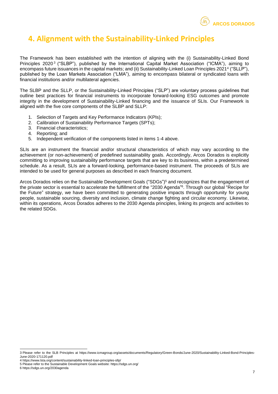

### <span id="page-6-0"></span>**4. Alignment with the Sustainability-Linked Principles**

The Framework has been established with the intention of aligning with the (i) Sustainability-Linked Bond Principles 2020<sup>3</sup> ("SLBP"), published by the International Capital Market Association ("ICMA"), aiming to encompass future issuances in the capital markets; and (ii) Sustainability-Linked Loan Principles 2021<sup>4</sup> ("SLLP"), published by the Loan Markets Association ("LMA"), aiming to encompass bilateral or syndicated loans with financial institutions and/or multilateral agencies.

The SLBP and the SLLP, or the Sustainability-Linked Principles ("SLP") are voluntary process guidelines that outline best practices for financial instruments to incorporate forward-looking ESG outcomes and promote integrity in the development of Sustainability-Linked financing and the issuance of SLIs. Our Framework is aligned with the five core components of the SLBP and SLLP:

- 1. Selection of Targets and Key Performance Indicators (KPIs);
- 2. Calibration of Sustainability Performance Targets (SPTs):
- 3. Financial characteristics;
- 4. Reporting; and
- 5. Independent verification of the components listed in items 1-4 above.

SLIs are an instrument the financial and/or structural characteristics of which may vary according to the achievement (or non-achievement) of predefined sustainability goals. Accordingly, Arcos Dorados is explicitly committing to improving sustainability performance targets that are key to its business, within a predetermined schedule. As a result, SLIs are a forward-looking, performance-based instrument. The proceeds of SLIs are intended to be used for general purposes as described in each financing document.

Arcos Dorados relies on the Sustainable Development Goals ("SDGs") <sup>5</sup> and recognizes that the engagement of the private sector is essential to accelerate the fulfillment of the "2030 Agenda" 6 . Through our global "Recipe for the Future" strategy, we have been committed to generating positive impacts through opportunity for young people, sustainable sourcing, diversity and inclusion, climate change fighting and circular economy. Likewise, within its operations, Arcos Dorados adheres to the 2030 Agenda principles, linking its projects and activities to the related SDGs.

6 https://sdgs.un.org/2030agenda

<sup>3</sup> Please refer to the SLB Principles at https://www.icmagroup.org/assets/documents/Regulatory/Green-Bonds/June-2020/Sustainability-Linked-Bond-Principles-June-2020-171120.pdf

<sup>4</sup> https://www.lsta.org/content/sustainability-linked-loan-principles-sllp/

<sup>5</sup> Please refer to the Sustainable Development Goals website: https://sdgs.un.org/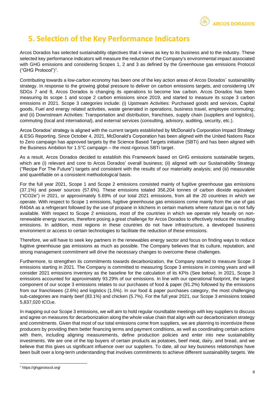

### <span id="page-7-0"></span>**5. Selection of the Key Performance Indicators**

Arcos Dorados has selected sustainability objectives that it views as key to its business and to the industry. These selected key performance indicators will measure the reduction of the Company's environmental impact associated with GHG emissions and considering Scopes 1, 2 and 3 as defined by the Greenhouse gas emissions Protocol ("GHG Protocol")<sup>7</sup> .

Contributing towards a low-carbon economy has been one of the key action areas of Arcos Dorados´ sustainability strategy. In response to the growing global pressure to deliver on carbon emissions targets, and considering UN SDGs 7 and 9, Arcos Dorados is changing its operations to become low carbon. Arcos Dorados has been measuring its scope 1 and scope 2 carbon emissions since 2019, and started to measure its scope 3 carbon emissions in 2021. Scope 3 categories include: (i) Upstream Activities: Purchased goods and services, Capital goods, Fuel and energy related activities, waste generated in operations, business travel, employee commuting; and (ii) Downstream Activities: Transportation and distribution, franchises, supply chain (suppliers and logistics), commuting (local and international), and external services (consulting, advisory, auditing, security, etc.).

Arcos Dorados' strategy is aligned with the current targets established by McDonald's Corporation Impact Strategy & ESG Reporting. Since October 4, 2021, McDonald's Corporation has been aligned with the United Nations Race to Zero campaign has approved targets by the Science Based Targets initiative (SBTi) and has been aligned with the Business Ambition for 1.5°C campaign – the most rigorous SBTi target.

As a result, Arcos Dorados decided to establish this Framework based on GHG emissions sustainable targets, which are (i) relevant and core to Arcos Dorados' overall business; (ii) aligned with our Sustainability Strategy ("Recipe For The Future") targets and consistent with the results of our materiality analysis; and (iii) measurable and quantifiable on a consistent methodological basis.

For the full year 2021, Scope 1 and Scope 2 emissions consisted mainly of fugitive greenhouse gas emissions (37.1%) and power sources (57.6%). These emissions totaled 356,204 tonnes of carbon dioxide equivalent ("tCO2e") in 2021, or approximately 5.69% of our total 2021 emissions, from all the 20 countries in which we operate. With respect to Scope 1 emissions, fugitive greenhouse gas emissions come mainly from the use of gas R404A as a refrigerant followed by the use of propane in kitchens in certain markets where natural gas is not fully available. With respect to Scope 2 emissions, most of the countries in which we operate rely heavily on nonrenewable energy sources, therefore posing a great challenge for Arcos Dorados to effectively reduce the resulting emissions. In addition, most regions in these countries do not have infrastructure, a developed business environment or access to certain technologies to facilitate the reduction of these emissions.

Therefore, we will have to seek key partners in the renewables energy sector and focus on finding ways to reduce fugitive greenhouse gas emissions as much as possible. The Company believes that its culture, reputation, and strong management commitment will drive the necessary changes to overcome these challenges.

Furthermore, to strengthen its commitments towards decarbonization, the Company started to measure Scope 3 emissions starting in 2021. The Company is committed to measuring Scope 3 emissions in coming years and will consider 2021 emissions inventory as the baseline for the calculation of its KPIs (See below). In 2021, Scope 3 emissions accounted for approximately 93.29% of our emissions. In line with our operational footprint, the largest component of our scope 3 emissions relates to our purchases of food & paper (91.2%) followed by the emissions from our franchisees (2.6%) and logistics (1.5%). In our food & paper purchases category, the most challenging sub-categories are mainly beef (83.1%) and chicken (5.7%). For the full year 2021, our Scope 3 emissions totaled 5,837,020 tCO<sub>2</sub>e.

In mapping out our Scope 3 emissions, we will aim to hold regular roundtable meetings with key suppliers to discuss and agree on measures for decarbonization along the whole value chain that align with our decarbonization strategy and commitments. Given that most of our total emissions come from suppliers, we are planning to incentivize these producers by providing them better financing terms and payment conditions, as well as coordinating certain actions with them, including aligning measurements, define production policies and enter into new sustainability investments. We are one of the top buyers of certain products as potatoes, beef meat, dairy, and bread, and we believe that this gives us significant influence over our suppliers. To date, all our key business relationships have been built over a long-term understanding that involves commitments to achieve different sustainability targets. We

<sup>7</sup> https://ghgprotocol.org/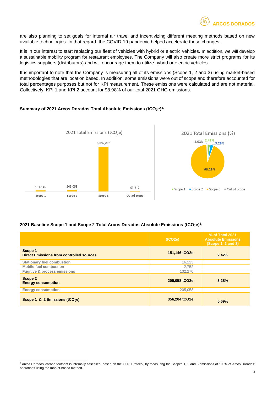

are also planning to set goals for internal air travel and incentivizing different meeting methods based on new available technologies. In that regard, the COVID-19 pandemic helped accelerate these changes.

It is in our interest to start replacing our fleet of vehicles with hybrid or electric vehicles. In addition, we will develop a sustainable mobility program for restaurant employees. The Company will also create more strict programs for its logistics suppliers (distributors) and will encourage them to utilize hybrid or electric vehicles.

It is important to note that the Company is measuring all of its emissions (Scope 1, 2 and 3) using market-based methodologies that are location based. In addition, some emissions were out of scope and therefore accounted for total percentages purposes but not for KPI measurement. These emissions were calculated and are not material. Collectively, KPI 1 and KPI 2 account for 98.98% of our total 2021 GHG emissions.

#### **Summary of 2021 Arcos Dorados Total Absolute Emissions (tCO2e)<sup>8</sup> :**



#### **2021 Baseline Scope 1 and Scope 2 Total Arcos Dorados Absolute Emissions (tCO2e)<sup>8</sup> :**

|                                                            | (tCO2e)       | % of Total 2021<br><b>Absolute Emissions</b><br>(Scope 1, 2 and 3) |
|------------------------------------------------------------|---------------|--------------------------------------------------------------------|
| Scope 1<br><b>Direct Emissions from controlled sources</b> | 151,146 tCO2e | 2.42%                                                              |
| <b>Stationary fuel combustion</b>                          | 16,123        |                                                                    |
| <b>Mobile fuel combustion</b>                              | 2,752         |                                                                    |
| <b>Fugitive &amp; process emissions</b>                    | 132,270       |                                                                    |
| Scope 2<br><b>Energy consumption</b>                       | 205,058 tCO2e | 3.28%                                                              |
| <b>Energy consumption</b>                                  | 205,058       |                                                                    |
| Scope 1 & 2 Emissions (tCO2e)                              | 356,204 tCO2e | 5.69%                                                              |

<sup>8</sup> Arcos Dorados' carbon footprint is internally assessed, based on the GHG Protocol, by measuring the Scopes 1, 2 and 3 emissions of 100% of Arcos Dorados' operations using the market-based method.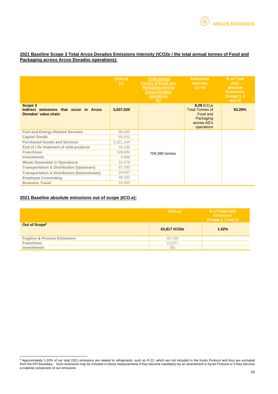#### **2021 Baseline Scope 3 Total Arcos Dorados Emissions Intensity (tCO2e / the total annual tonnes of Food and Packaging across Arcos Dorados operations):**

|                                                                           | (tCO <sub>2</sub> e)<br>(a) | <b>Total annual</b><br>tonnes of Food and<br><b>Packaging across</b><br><b>Arcos Dorados</b><br>operations<br>(b) | <b>Emissions</b><br><b>Intensity</b><br>(a/b)                                                           | % of Total<br>2021<br>absolute<br><b>Emissions</b><br>(Scope 1, 2)<br>and $3)$ |
|---------------------------------------------------------------------------|-----------------------------|-------------------------------------------------------------------------------------------------------------------|---------------------------------------------------------------------------------------------------------|--------------------------------------------------------------------------------|
| Scope 3<br>Indirect emissions that occur in Arcos<br>Dorados' value chain | 5,837,020                   |                                                                                                                   | 8.29 tCO <sub>2</sub> e<br><b>Total Tonnes of</b><br>Food and<br>Packaging<br>across AD's<br>operations | 93.29%                                                                         |
| <b>Fuel-and-Energy-Related Services</b>                                   | 86,520                      |                                                                                                                   |                                                                                                         |                                                                                |
| <b>Capital Goods</b>                                                      | 50,431                      |                                                                                                                   |                                                                                                         |                                                                                |
| <b>Purchased Goods and Services</b>                                       | 5,321,244                   |                                                                                                                   |                                                                                                         |                                                                                |
| End of Life treatment of sold products                                    | 34,139                      |                                                                                                                   |                                                                                                         |                                                                                |
| <b>Franchises</b>                                                         | 149,499                     | 704,380 tonnes                                                                                                    |                                                                                                         |                                                                                |
| <b>Investments</b>                                                        | 4,066                       |                                                                                                                   |                                                                                                         |                                                                                |
| <b>Waste Generated in Operations</b>                                      | 22,076                      |                                                                                                                   |                                                                                                         |                                                                                |
| <b>Transportation &amp; Distribution (Upstream)</b>                       | 87,783                      |                                                                                                                   |                                                                                                         |                                                                                |
| <b>Transportation &amp; Distribution (Downstream)</b>                     | 24,447                      |                                                                                                                   |                                                                                                         |                                                                                |
| <b>Employee Commuting</b>                                                 | 46,320                      |                                                                                                                   |                                                                                                         |                                                                                |
| <b>Business Travel</b>                                                    | 10,494                      |                                                                                                                   |                                                                                                         |                                                                                |

#### **2021 Baseline absolute emissions out of scope (tCO**2**e):**

|                                         | (tCO <sub>2</sub> e) | % of Total 2021<br><b>Emissions</b><br>(Scope 1, 2 and 3) |
|-----------------------------------------|----------------------|-----------------------------------------------------------|
| Out of Scope <sup>9</sup>               | 63,817 tCO2e         | 1.02%                                                     |
| <b>Fugitive &amp; Process Emissions</b> | 40,759               |                                                           |
| <b>Franchises</b>                       | 22,677               |                                                           |
| Investments                             | 381                  |                                                           |

<sup>&</sup>lt;sup>9</sup> Approximately 1.02% of our total 2021 emissions are related to refrigerants, such as R-22, which are not included in the Kyoto Protocol and thus are excluded from the KPI Boundary. Such emissions may be included in future measurements if they become mandatory by an amendment in Kyoto Protocol or if they become a material component of our emissions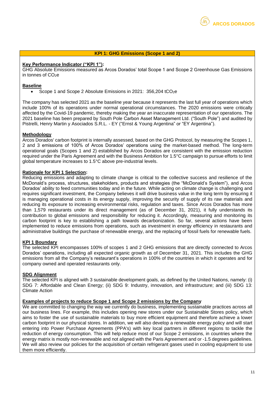#### **KPI 1: GHG Emissions (Scope 1 and 2)**

#### **Key Performance Indicator ("KPI 1"):**

GHG Absolute Emissions measured as Arcos Dorados' total Scope 1 and Scope 2 Greenhouse Gas Emissions in tonnes of  $CO<sub>2</sub>e$ 

#### **Baseline**

• Scope 1 and Scope 2 Absolute Emissions in 2021: 356,204 tCO2e

The company has selected 2021 as the baseline year because it represents the last full year of operations which include 100% of its operations under normal operational circumstances. The 2020 emissions were critically affected by the Covid-19 pandemic, thereby making the year an inaccurate representation of our operations. The 2021 baseline has been prepared by South Pole Carbon Asset Management Ltd. ("South Pole") and audited by Pistrelli, Henry Martin y Asociados S.R.L. - EY ("Ernst & Young Argentina" or "EY Argentina").

#### **Methodology**

Arcos Dorados' carbon footprint is internally assessed, based on the GHG Protocol, by measuring the Scopes 1, 2 and 3 emissions of 100% of Arcos Dorados' operations using the market-based method. The long-term operational goals (Scopes 1 and 2) established by Arcos Dorados are consistent with the emission reduction required under the Paris Agreement and with the Business Ambition for 1.5°C campaign to pursue efforts to limit global temperature increases to 1.5°C above pre-industrial levels.

#### **Rationale for KPI 1 Selection:**

Reducing emissions and adapting to climate change is critical to the collective success and resilience of the McDonald's process, structures, stakeholders, products and strategies (the "McDonald's System"), and Arcos Dorados' ability to feed communities today and in the future. While acting on climate change is challenging and requires significant investment, the Company believes it will drive business value in the long term by ensuring it is managing operational costs in its energy supply, improving the security of supply of its raw materials and reducing its exposure to increasing environmental risks, regulation and taxes. Since Arcos Dorados has more than 1,579 restaurants under its direct management (as of December 31, 2021), it fully understands its contribution to global emissions and responsibility for reducing it. Accordingly, measuring and monitoring its carbon footprint is key to establishing a path towards decarbonization. So far, several actions have been implemented to reduce emissions from operations, such as investment in energy efficiency in restaurants and administrative buildings the purchase of renewable energy, and the replacing of fossil fuels for renewable fuels.

#### **KPI 1 Boundary**

The selected KPI encompasses 100% of scopes 1 and 2 GHG emissions that are directly connected to Arcos Dorados' operations, including all expected organic growth as of December 31, 2021. This includes the GHG emissions from all the Company's restaurant's operations in 100% of the countries in which it operates and for company owned and operated restaurants only.

#### **SDG Alignment**

The selected KPI is aligned with 3 sustainable development goals, as defined by the United Nations, namely: (i) SDG 7: Affordable and Clean Energy; (ii) SDG 9: Industry, innovation, and infrastructure; and (iii) SDG 13: Climate Action

#### **Examples of projects to reduce Scope 1 and Scope 2 emissions by the Company**

We are committed to changing the way we currently do business, implementing sustainable practices across all our business lines. For example, this includes opening new stores under our Sustainable Stores policy, which aims to foster the use of sustainable materials to buy more efficient equipment and therefore achieve a lower carbon footprint in our physical stores. In addition, we will also develop a renewable energy policy and will start entering into Power Purchase Agreements (PPA's) with key local partners in different regions to tackle the reduction of energy consumption. This will help reduce most of our Scope 2 emissions, in countries where the energy matrix is mostly non-renewable and not aligned with the Paris Agreement and or -1.5 degrees guidelines. We will also review our policies for the acquisition of certain refrigerant gases used in cooling equipment to use them more efficiently.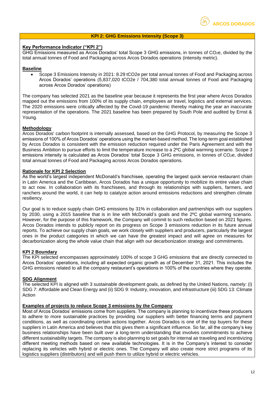

#### **KPI 2: GHG Emissions Intensity (Scope 3)**

#### **Key Performance Indicator ("KPI 2")**

GHG Emissions measured as Arcos Dorados' total Scope 3 GHG emissions, in tonnes of  $CO<sub>2</sub>e$ , divided by the total annual tonnes of Food and Packaging across Arcos Dorados operations (intensity metric).

#### **Baseline**

• Scope 3 Emissions Intensity in 2021: 8.29 tCO2e per total annual tonnes of Food and Packaging across Arcos Dorados' operations (5,837,020 tCO2e / 704,380 total annual tonnes of Food and Packaging across Arcos Dorados' operations)

The company has selected 2021 as the baseline year because it represents the first year where Arcos Dorados mapped out the emissions from 100% of its supply chain, employees air travel, logistics and external services. The 2020 emissions were critically affected by the Covid-19 pandemic thereby making the year an inaccurate representation of the operations. The 2021 baseline has been prepared by South Pole and audited by Ernst & Young.

#### **Methodology**

Arcos Dorados' carbon footprint is internally assessed, based on the GHG Protocol, by measuring the Scope 3 emissions of 100% of Arcos Dorados' operations using the market-based method. The long-term goal established by Arcos Dorados is consistent with the emission reduction required under the Paris Agreement and with the Business Ambition to pursue efforts to limit the temperature increase to a 2ºC global warming scenario. Scope 3 emissions intensity is calculated as Arcos Dorados' total Scope 3 GHG emissions, in tonnes of CO<sub>2</sub>e, divided total annual tonnes of Food and Packaging across Arcos Dorados operations.

#### **Rationale for KPI 2 Selection**

As the world's largest independent McDonald's franchisee, operating the largest quick service restaurant chain in Latin America and the Caribbean, Arcos Dorados has a unique opportunity to mobilize its entire value chain to act now. In collaboration with its franchisees, and through its relationships with suppliers, farmers, and ranchers around the world, it can help to catalyze action around emissions reductions and strengthen climate resiliency.

Our goal is to reduce supply chain GHG emissions by 31% in collaboration and partnerships with our suppliers by 2030, using a 2015 baseline that is in line with McDonald's goals and the 2ºC global warming scenario. However, for the purpose of this framework, the Company will commit to such reduction based on 2021 figures. Arcos Dorados intends to publicly report on its progress on Scope 3 emissions reduction in its future annual reports. To achieve our supply chain goals, we work closely with suppliers and producers, particularly the largest ones in the product categories in which we can have the greatest impact and will agree on measures for decarbonization along the whole value chain that align with our decarbonization strategy and commitments.

#### **KPI 2 Boundary**

The KPI selected encompasses approximately 100% of scope 3 GHG emissions that are directly connected to Arcos Dorados' operations, including all expected organic growth as of December 31, 2021. This includes the GHG emissions related to all the company restaurant's operations in 100% of the countries where they operate.

#### **SDG Alignment**

The selected KPI is aligned with 3 sustainable development goals, as defined by the United Nations, namely: (i) SDG 7: Affordable and Clean Energy and (ii) SDG 9: Industry, innovation, and infrastructure (iii) SDG 13: Climate Action

#### **Examples of projects to reduce Scope 3 emissions by the Company**

Most of Arcos Dorados' emissions come from suppliers. The company is planning to incentivize these producers to adhere to more sustainable practices by providing our suppliers with better financing terms and payment conditions, as well as coordinating certain actions together. Arcos Dorados is one of the top buyers for these suppliers in Latin America and believes that this gives them a significant influence. So far, all the company's key business relationships have been built over a long-term understanding that involves commitments to achieve different sustainability targets. The company is also planning to set goals for internal air traveling and incentivizing different meeting methods based on new available technologies. It is in the Company's interest to consider replacing its vehicles with hybrid or electric ones. The Company will also create more strict programs of its logistics suppliers (distributors) and will push them to utilize hybrid or electric vehicles.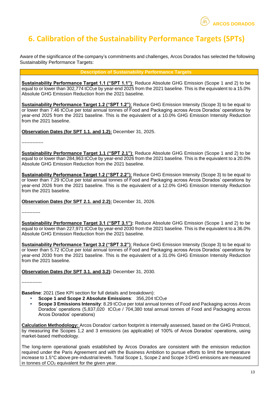

### <span id="page-12-0"></span>**6. Calibration of the Sustainability Performance Targets (SPTs)**

Aware of the significance of the company's commitments and challenges, Arcos Dorados has selected the following Sustainability Performance Targets:

#### **Description of Sustainability Performance Targets**

**Sustainability Performance Target 1.1 ("SPT 1.1")**: Reduce Absolute GHG Emission (Scope 1 and 2) to be equal to or lower than 302,774 tCO<sub>2</sub>e by year-end 2025 from the 2021 baseline. This is the equivalent to a 15.0% Absolute GHG Emission Reduction from the 2021 baseline.

**Sustainability Performance Target 1.2 ("SPT 1.2")**: Reduce GHG Emission Intensity (Scope 3) to be equal to or lower than 7.46 tCO<sub>2</sub>e per total annual tonnes of Food and Packaging across Arcos Dorados' operations by year-end 2025 from the 2021 baseline. This is the equivalent of a 10.0% GHG Emission Intensity Reduction from the 2021 baseline.

**Observation Dates (for SPT 1.1. and 1.2):** December 31, 2025.

--------------

**Sustainability Performance Target 1.1 ("SPT 2.1")**: Reduce Absolute GHG Emission (Scope 1 and 2) to be equal to or lower than 284,963 tCO<sub>2</sub>e by year-end 2026 from the 2021 baseline. This is the equivalent to a 20.0% Absolute GHG Emission Reduction from the 2021 baseline.

**Sustainability Performance Target 1.2 ("SPT 2.2")**: Reduce GHG Emission Intensity (Scope 3) to be equal to or lower than 7.29 tCO2e per total annual tonnes of Food and Packaging across Arcos Dorados' operations by year-end 2026 from the 2021 baseline. This is the equivalent of a 12.0% GHG Emission Intensity Reduction from the 2021 baseline.

**Observation Dates (for SPT 2.1. and 2.2):** December 31, 2026.

------------

**Sustainability Performance Target 3.1 ("SPT 3.1"):** Reduce Absolute GHG Emission (Scope 1 and 2) to be equal to or lower than 227,971 tCO<sub>2</sub>e by year-end 2030 from the 2021 baseline. This is the equivalent to a 36.0% Absolute GHG Emission Reduction from the 2021 baseline.

**Sustainability Performance Target 3.2 ("SPT 3.2")**: Reduce GHG Emission Intensity (Scope 3) to be equal to or lower than 5.72 tCO<sub>2</sub>e per total annual tonnes of Food and Packaging across Arcos Dorados' operations by year-end 2030 from the 2021 baseline. This is the equivalent of a 31.0% GHG Emission Intensity Reduction from the 2021 baseline.

**Observation Dates (for SPT 3.1. and 3.2):** December 31, 2030.

-------------

**Baseline**: 2021 (See KPI section for full details and breakdown):

- **Scope 1 and Scope 2 Absolute Emissions: 356,204 tCO<sub>2</sub>e**
- **Scope 3 Emissions Intensity**: 8.29 tCO<sub>2</sub>e per total annual tonnes of Food and Packaging across Arcos Dorados' operations (5,837,020 tCO<sub>2</sub>e / 704,380 total annual tonnes of Food and Packaging across Arcos Dorados' operations)

**Calculation Methodology:** Arcos Dorados' carbon footprint is internally assessed, based on the GHG Protocol, by measuring the Scopes 1,2 and 3 emissions (as applicable) of 100% of Arcos Dorados' operations, using market-based methodology.

The long-term operational goals established by Arcos Dorados are consistent with the emission reduction required under the Paris Agreement and with the Business Ambition to pursue efforts to limit the temperature increase to 1.5°C above pre-industrial levels. Total Scope 1, Scope 2 and Scope 3 GHG emissions are measured in tonnes of  $CO<sub>2</sub>$  equivalent for the given year.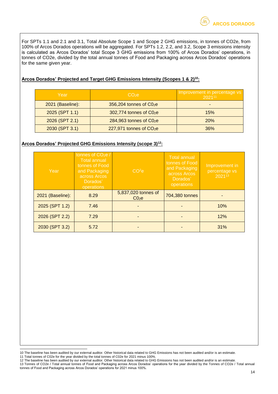For SPTs 1.1 and 2.1 and 3.1, Total Absolute Scope 1 and Scope 2 GHG emissions, in tonnes of CO2e, from 100% of Arcos Dorados operations will be aggregated. For SPTs 1.2, 2.2, and 3.2, Scope 3 emissions intensity is calculated as Arcos Dorados' total Scope 3 GHG emissions from 100% of Arcos Dorados' operations, in tonnes of CO2e, divided by the total annual tonnes of Food and Packaging across Arcos Dorados' operations for the same given year.

#### **Arcos Dorados' Projected and Target GHG Emissions Intensity (Scopes 1 & 2)<sup>10</sup>:**

| Year             | $CO2$ $e$                  | Improvement in percentage vs<br>202111 |  |
|------------------|----------------------------|----------------------------------------|--|
| 2021 (Baseline): | $356,204$ tonnes of $C02e$ |                                        |  |
| 2025 (SPT 1.1)   | 302,774 tonnes of C02e     | 15%                                    |  |
| 2026 (SPT 2.1)   | $284,963$ tonnes of $CO2e$ | 20%                                    |  |
| 2030 (SPT 3.1)   | $227,971$ tonnes of $CO2e$ | 36%                                    |  |

#### **Arcos Dorados' Projected GHG Emissions Intensity (scope 3)<sup>12</sup>:**

| Year             | tonnes of $CO2e/$<br><b>Total annual</b><br>tonnes of Food<br>and Packaging<br>across Arcos<br>Dorados'<br>operations | CO <sup>2</sup> e                        | <b>Total annual</b><br>tonnes of Food<br>and Packaging<br>across Arcos<br>Dorados'<br>operations | Improvement in<br>percentage vs<br>$\sqrt{2021}^{13}$ |
|------------------|-----------------------------------------------------------------------------------------------------------------------|------------------------------------------|--------------------------------------------------------------------------------------------------|-------------------------------------------------------|
| 2021 (Baseline): | 8.29                                                                                                                  | 5,837,020 tonnes of<br>C0 <sub>2</sub> e | 704,380 tonnes                                                                                   |                                                       |
| 2025 (SPT 1.2)   | 7.46                                                                                                                  |                                          |                                                                                                  | 10%                                                   |
| 2026 (SPT 2.2)   | 7.29                                                                                                                  |                                          |                                                                                                  | 12%                                                   |
| 2030 (SPT 3.2)   | 5.72                                                                                                                  |                                          |                                                                                                  | 31%                                                   |

<sup>10</sup> The baseline has been audited by our external auditor. Other historical data related to GHG Emissions has not been audited and/or is an estimate.

<sup>11</sup> Total tonnes of C02e for the year divided by the total tonnes of C02e for 2021 minus 100%.

<sup>12</sup> The baseline has been audited by our external auditor. Other historical data related to GHG Emissions has not been audited and/or is an estimate. 13 Tonnes of CO2e / Total annual tonnes of Food and Packaging across Arcos Dorados' operations for the year divided by the Tonnes of CO2e / Total annual tonnes of Food and Packaging across Arcos Dorados' operations for 2021 minus 100%.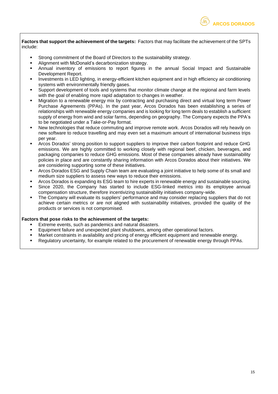

**Factors that support the achievement of the targets:** Factors that may facilitate the achievement of the SPTs include:

- Strong commitment of the Board of Directors to the sustainability strategy.
- Alignment with McDonald's decarbonization strategy.
- Annual inventory of emissions to report figures in the annual Social Impact and Sustainable Development Report.
- Investments in LED lighting, in energy-efficient kitchen equipment and in high efficiency air conditioning systems with environmentally friendly gases.
- Support development of tools and systems that monitor climate change at the regional and farm levels with the goal of enabling more rapid adaptation to changes in weather.
- Migration to a renewable energy mix by contracting and purchasing direct and virtual long term Power Purchase Agreements (PPAs). In the past year, Arcos Dorados has been establishing a series of relationships with renewable energy companies and is looking for long term deals to establish a sufficient supply of energy from wind and solar farms, depending on geography. The Company expects the PPA's to be negotiated under a Take-or-Pay format.
- New technologies that reduce commuting and improve remote work. Arcos Dorados will rely heavily on new software to reduce travelling and may even set a maximum amount of international business trips per year.
- Arcos Dorados' strong position to support suppliers to improve their carbon footprint and reduce GHG emissions. We are highly committed to working closely with regional beef, chicken, beverages, and packaging companies to reduce GHG emissions. Most of these companies already have sustainability policies in place and are constantly sharing information with Arcos Dorados about their initiatives. We are considering supporting some of these initiatives.
- Arcos Dorados ESG and Supply Chain team are evaluating a joint initiative to help some of its small and medium size suppliers to assess new ways to reduce their emissions.
- Arcos Dorados is expanding its ESG team to hire experts in renewable energy and sustainable sourcing.
- Since 2020, the Company has started to include ESG-linked metrics into its employee annual compensation structure, therefore incentivizing sustainability initiatives company-wide.
- The Company will evaluate its suppliers' performance and may consider replacing suppliers that do not achieve certain metrics or are not aligned with sustainability initiatives, provided the quality of the products or services is not compromised.

#### **Factors that pose risks to the achievement of the targets:**

- Extreme events, such as pandemics and natural disasters.
- Equipment failure and unexpected plant shutdowns, among other operational factors.
- Market constraints in availability and pricing of energy efficient equipment and renewable energy.
- Regulatory uncertainty, for example related to the procurement of renewable energy through PPAs.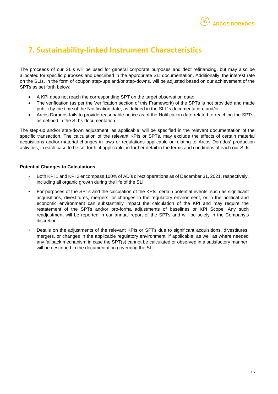

### <span id="page-15-0"></span>**7. Sustainability-linked Instrument Characteristics**

The proceeds of our SLIs will be used for general corporate purposes and debt refinancing, but may also be allocated for specific purposes and described in the appropriate SLI documentation. Additionally, the interest rate on the SLIs, in the form of coupon step-ups and/or step-downs, will be adjusted based on our achievement of the SPTs as set forth below:

- A KPI does not reach the corresponding SPT on the target observation date;
- The verification (as per the Verification section of this Framework) of the SPTs is not provided and made public by the time of the Notification date, as defined in the SLI ´s documentation; and/or
- Arcos Dorados fails to provide reasonable notice as of the Notification date related to reaching the SPTs, as defined in the SLI´s documentation.

The step-up and/or step-down adjustment, as applicable, will be specified in the relevant documentation of the specific transaction. The calculation of the relevant KPIs or SPTs, may exclude the effects of certain material acquisitions and/or material changes in laws or regulations applicable or relating to Arcos Dorados' production activities, in each case to be set forth, if applicable, in further detail in the terms and conditions of each our SLIs.

#### **Potential Changes to Calculations**:

- Both KPI 1 and KPI 2 encompass 100% of AD's direct operations as of December 31, 2021, respectively, including all organic growth during the life of the SLI
- For purposes of the SPTs and the calculation of the KPIs, certain potential events, such as significant acquisitions, divestitures, mergers, or changes in the regulatory environment, or in the political and economic environment can substantially impact the calculation of the KPI and may require the restatement of the SPTs and/or pro-forma adjustments of baselines or KPI Scope. Any such readjustment will be reported in our annual report of the SPTs and will be solely in the Company's discretion.
- Details on the adjustments of the relevant KPIs or SPTs due to significant acquisitions, divestitures, mergers, or changes in the applicable regulatory environment, if applicable, as well as where needed any fallback mechanism in case the SPT(s) cannot be calculated or observed in a satisfactory manner, will be described in the documentation governing the SLI.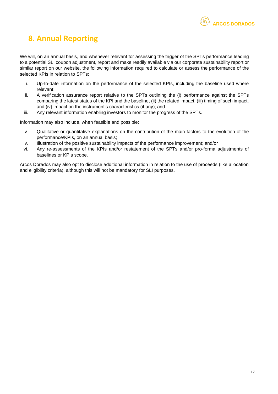### <span id="page-16-0"></span>**8. Annual Reporting**

We will, on an annual basis, and whenever relevant for assessing the trigger of the SPTs performance leading to a potential SLI coupon adjustment, report and make readily available via our corporate sustainability report or similar report on our website, the following information required to calculate or assess the performance of the selected KPIs in relation to SPTs:

- i. Up-to-date information on the performance of the selected KPIs, including the baseline used where relevant;
- ii. A verification assurance report relative to the SPTs outlining the (i) performance against the SPTs comparing the latest status of the KPI and the baseline, (ii) the related impact, (iii) timing of such impact, and (iv) impact on the instrument's characteristics (if any); and
- iii. Any relevant information enabling investors to monitor the progress of the SPTs.

Information may also include, when feasible and possible:

- iv. Qualitative or quantitative explanations on the contribution of the main factors to the evolution of the performance/KPIs, on an annual basis;
- v. Illustration of the positive sustainability impacts of the performance improvement; and/or
- vi. Any re-assessments of the KPIs and/or restatement of the SPTs and/or pro-forma adjustments of baselines or KPIs scope.

Arcos Dorados may also opt to disclose additional information in relation to the use of proceeds (like allocation and eligibility criteria), although this will not be mandatory for SLI purposes.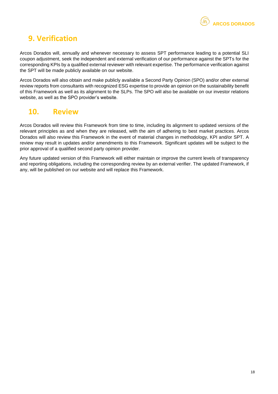### <span id="page-17-0"></span>**9. Verification**

Arcos Dorados will, annually and whenever necessary to assess SPT performance leading to a potential SLI coupon adjustment, seek the independent and external verification of our performance against the SPTs for the corresponding KPIs by a qualified external reviewer with relevant expertise. The performance verification against the SPT will be made publicly available on our website.

Arcos Dorados will also obtain and make publicly available a Second Party Opinion (SPO) and/or other external review reports from consultants with recognized ESG expertise to provide an opinion on the sustainability benefit of this Framework as well as its alignment to the SLPs. The SPO will also be available on our investor relations website, as well as the SPO provider's website.

### <span id="page-17-1"></span>**10. Review**

Arcos Dorados will review this Framework from time to time, including its alignment to updated versions of the relevant principles as and when they are released, with the aim of adhering to best market practices. Arcos Dorados will also review this Framework in the event of material changes in methodology, KPI and/or SPT. A review may result in updates and/or amendments to this Framework. Significant updates will be subject to the prior approval of a qualified second party opinion provider.

Any future updated version of this Framework will either maintain or improve the current levels of transparency and reporting obligations, including the corresponding review by an external verifier. The updated Framework, if any, will be published on our website and will replace this Framework.